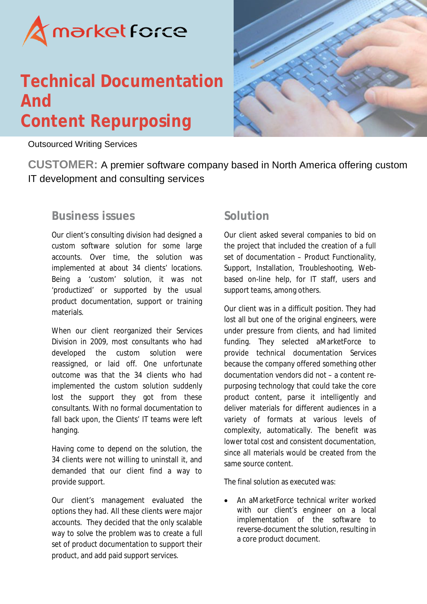

## **Technical Documentation And Content Repurposing**



Outsourced Writing Services

**CUSTOMER:** A premier software company based in North America offering custom IT development and consulting services

## **Business issues**

Our client's consulting division had designed a custom software solution for some large accounts. Over time, the solution was implemented at about 34 clients' locations. Being a 'custom' solution, it was not 'productized' or supported by the usual product documentation, support or training materials.

When our client reorganized their Services Division in 2009, most consultants who had developed the custom solution were reassigned, or laid off. One unfortunate outcome was that the 34 clients who had implemented the custom solution suddenly lost the support they got from these consultants. With no formal documentation to fall back upon, the Clients' IT teams were left hanging.

Having come to depend on the solution, the 34 clients were not willing to uninstall it, and demanded that our client find a way to provide support.

Our client's management evaluated the options they had. All these clients were major accounts. They decided that the only scalable way to solve the problem was to create a full set of product documentation to support their product, and add paid support services.

## **Solution**

Our client asked several companies to bid on the project that included the creation of a full set of documentation – Product Functionality, Support, Installation, Troubleshooting, Webbased on-line help, for IT staff, users and support teams, among others.

Our client was in a difficult position. They had lost all but one of the original engineers, were under pressure from clients, and had limited funding. They selected aMarketForce to provide technical documentation Services because the company offered something other documentation vendors did not – a content repurposing technology that could take the core product content, parse it intelligently and deliver materials for different audiences in a variety of formats at various levels of complexity, automatically. The benefit was lower total cost and consistent documentation, since all materials would be created from the same source content.

The final solution as executed was:

 An aMarketForce technical writer worked with our client's engineer on a local implementation of the software to reverse-document the solution, resulting in a core product document.